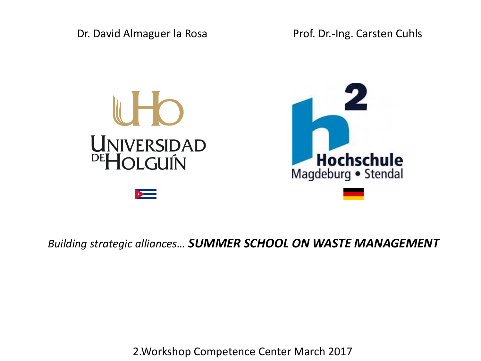Dr. David Almaguer la Rosa Prof. Dr.-Ing. Carsten Cuhls





*Building strategic alliances… SUMMER SCHOOL ON WASTE MANAGEMENT*

2.Workshop Competence Center March 2017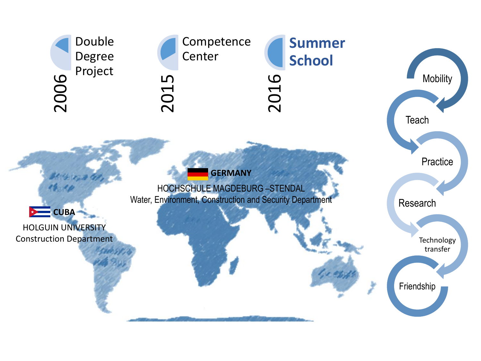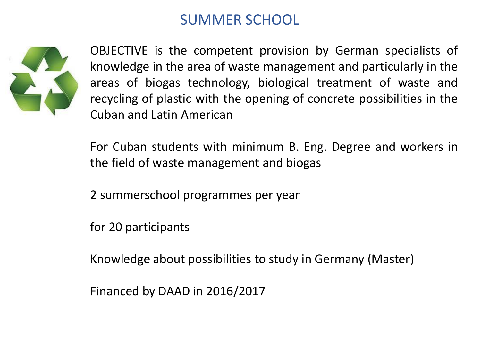## SUMMER SCHOOL



OBJECTIVE is the competent provision by German specialists of knowledge in the area of waste management and particularly in the areas of biogas technology, biological treatment of waste and recycling of plastic with the opening of concrete possibilities in the Cuban and Latin American

For Cuban students with minimum B. Eng. Degree and workers in the field of waste management and biogas

2 summerschool programmes per year

for 20 participants

Knowledge about possibilities to study in Germany (Master)

Financed by DAAD in 2016/2017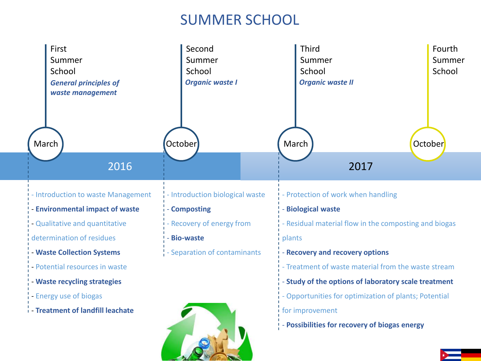## SUMMER SCHOOL